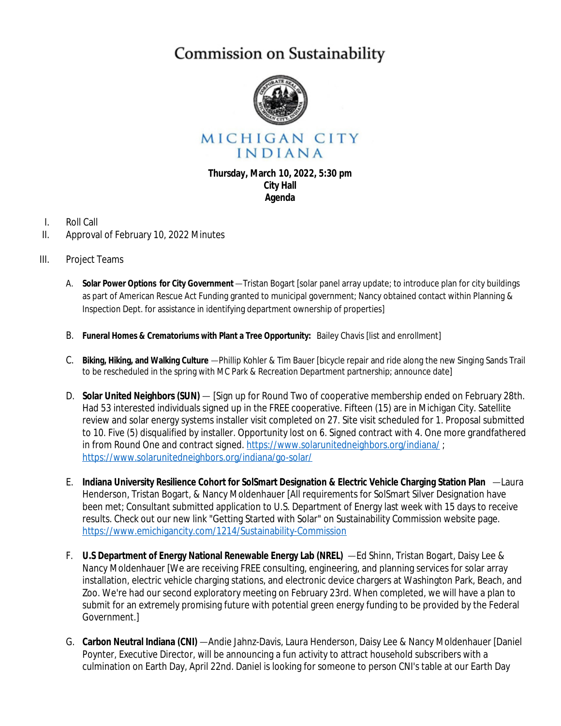## Commission on Sustainability



MICHIGAN CITY INDIANA

## **Thursday, March 10, 2022, 5:30 pm City Hall Agenda**

- I. Roll Call
- II. Approval of February 10, 2022 Minutes
- III. Project Teams
	- A. **Solar Power Options for City Government**—Tristan Bogart [solar panel array update; to introduce plan for city buildings as part of American Rescue Act Funding granted to municipal government; Nancy obtained contact within Planning & Inspection Dept. for assistance in identifying department ownership of properties]
	- B. **Funeral Homes & Crematoriums with Plant a Tree Opportunity:** Bailey Chavis [list and enrollment]
	- C. **Biking, Hiking, and Walking Culture** —Phillip Kohler & Tim Bauer [bicycle repair and ride along the new Singing Sands Trail to be rescheduled in the spring with MC Park & Recreation Department partnership; announce date]
	- D. **Solar United Neighbors (SUN)** [Sign up for Round Two of cooperative membership ended on February 28th. Had 53 interested individuals signed up in the FREE cooperative. Fifteen (15) are in Michigan City. Satellite review and solar energy systems installer visit completed on 27. Site visit scheduled for 1. Proposal submitted to 10. Five (5) disqualified by installer. Opportunity lost on 6. Signed contract with 4. One more grandfathered in from Round One and contract signed. <https://www.solarunitedneighbors.org/indiana/>; <https://www.solarunitedneighbors.org/indiana/go-solar/>
	- E. **Indiana University Resilience Cohort for SolSmart Designation & Electric Vehicle Charging Station Plan** —Laura Henderson, Tristan Bogart, & Nancy Moldenhauer [All requirements for SolSmart Silver Designation have been met; Consultant submitted application to U.S. Department of Energy last week with 15 days to receive results. Check out our new link "Getting Started with Solar" on Sustainability Commission website page. <https://www.emichigancity.com/1214/Sustainability-Commission>
	- F. **U.S Department of Energy National Renewable Energy Lab (NREL)** —Ed Shinn, Tristan Bogart, Daisy Lee & Nancy Moldenhauer [We are receiving FREE consulting, engineering, and planning services for solar array installation, electric vehicle charging stations, and electronic device chargers at Washington Park, Beach, and Zoo. We're had our second exploratory meeting on February 23rd. When completed, we will have a plan to submit for an extremely promising future with potential green energy funding to be provided by the Federal Government.]
	- G. **Carbon Neutral Indiana (CNI)** —Andie Jahnz-Davis, Laura Henderson, Daisy Lee & Nancy Moldenhauer [Daniel Poynter, Executive Director, will be announcing a fun activity to attract household subscribers with a culmination on Earth Day, April 22nd. Daniel is looking for someone to person CNI's table at our Earth Day